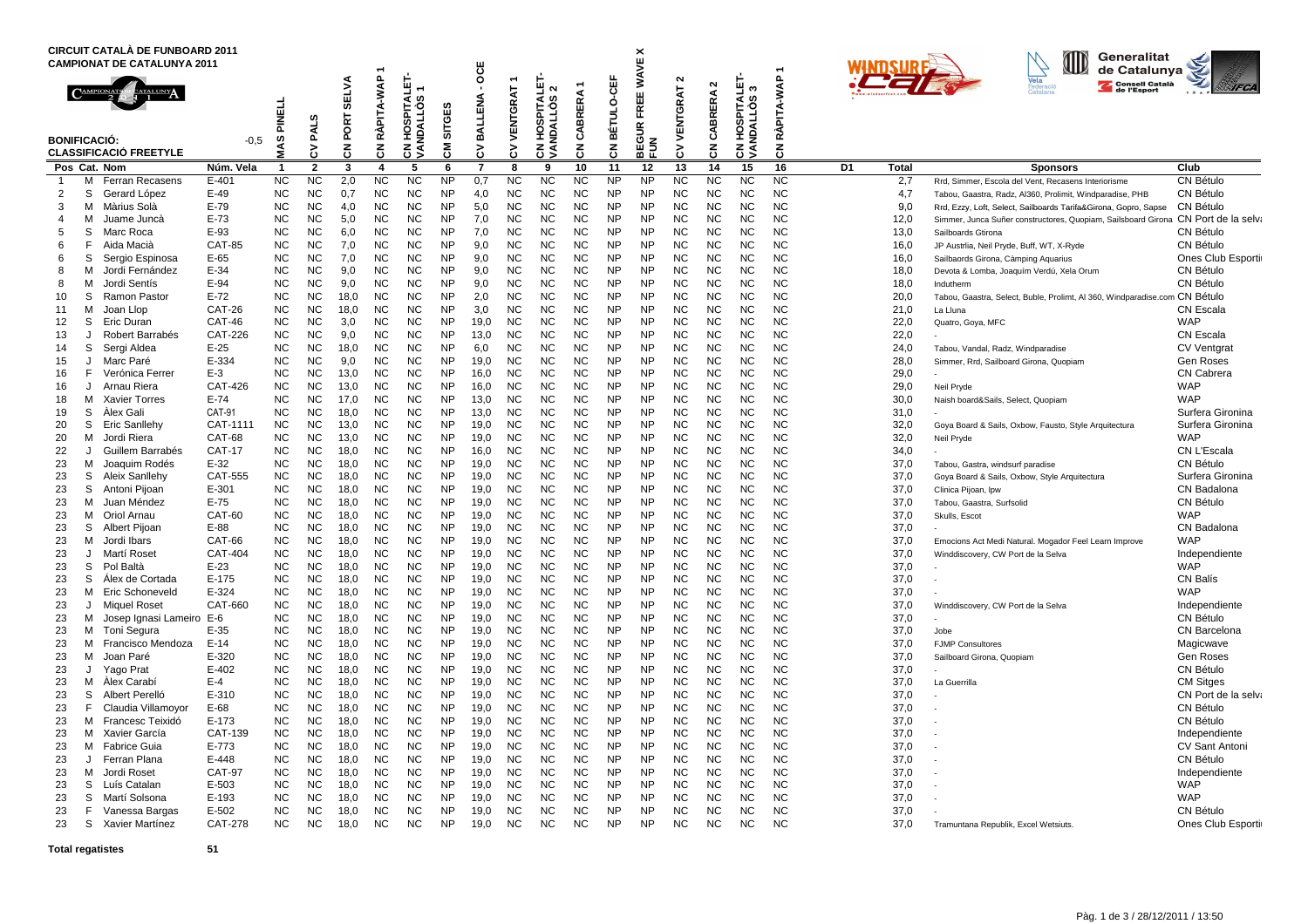| <b>CIRCUIT CATALA DE FUNBOARD 2011</b><br><b>CAMPIONAT DE CATALUNYA 2011</b>                                                                                                                                                                                                                                                                                                                                                                                                                                                                                                                                                                                                                                                                                                                                                                                                                                                                                                                                                                                                                                                        |                                                                                                                                                                                                                                                                                                                                                                                                                                                      |                                                                                                                                                                                                                                                                                                                                                                                                                                                                     |                                                                                                                                                                                                                                                                                                                                                                                                                                                  |                                                                                                                                                                                                                                                                                                                  |                                                                                                                                                                                                                                                                                                                                                |                                                                                                                                                                                                                                                                                                                                                                                                                                                                                            |                                                                                                                                                                                                                                                                                                                                                                                                                                                                                                                               |                                                                                                                                                                                                                                                                                                                  |                                                                                                                                                                                                                                                                                                                                                                                                                                                                                                   |                                                                                                                                                                                                                                                                                                                                                                                                               |                                                                                                                                                                                                                                                                                                                                         |                                                                                                                                                                                                                                                                                                                                                                                                                                                                                                                                      | $\boldsymbol{\times}$                                                                                                                                                                                                                                                                                                                                                                                                                                                                                                                |                                                                                                                                                                                                                                                                                                                                                                                                                                                                                                                          |                                                                                                                                                                                                                                                                                                                                                                                                                                                                                                                                |                                                                                                                                                                                                                                                                                                                                                                                                                                                                                                                                | $\overline{\phantom{0}}$                                                                                                                                                                                                                                                                                                                                                                                                                                                                                                             |    |                                                                                                                                                                                                                                                                                                                           | Generalitat<br>de Catalunya                                                                                                                                                                                                                                                                                                                                                                                                                                                                                                                                                                                                                                                                                                                                                                                                                                                                                                                                                                                                                                                                                                        |                                                                                                                                                                                                                                                                                                                                                                                                                                                                                                                                                                                                              |
|-------------------------------------------------------------------------------------------------------------------------------------------------------------------------------------------------------------------------------------------------------------------------------------------------------------------------------------------------------------------------------------------------------------------------------------------------------------------------------------------------------------------------------------------------------------------------------------------------------------------------------------------------------------------------------------------------------------------------------------------------------------------------------------------------------------------------------------------------------------------------------------------------------------------------------------------------------------------------------------------------------------------------------------------------------------------------------------------------------------------------------------|------------------------------------------------------------------------------------------------------------------------------------------------------------------------------------------------------------------------------------------------------------------------------------------------------------------------------------------------------------------------------------------------------------------------------------------------------|---------------------------------------------------------------------------------------------------------------------------------------------------------------------------------------------------------------------------------------------------------------------------------------------------------------------------------------------------------------------------------------------------------------------------------------------------------------------|--------------------------------------------------------------------------------------------------------------------------------------------------------------------------------------------------------------------------------------------------------------------------------------------------------------------------------------------------------------------------------------------------------------------------------------------------|------------------------------------------------------------------------------------------------------------------------------------------------------------------------------------------------------------------------------------------------------------------------------------------------------------------|------------------------------------------------------------------------------------------------------------------------------------------------------------------------------------------------------------------------------------------------------------------------------------------------------------------------------------------------|--------------------------------------------------------------------------------------------------------------------------------------------------------------------------------------------------------------------------------------------------------------------------------------------------------------------------------------------------------------------------------------------------------------------------------------------------------------------------------------------|-------------------------------------------------------------------------------------------------------------------------------------------------------------------------------------------------------------------------------------------------------------------------------------------------------------------------------------------------------------------------------------------------------------------------------------------------------------------------------------------------------------------------------|------------------------------------------------------------------------------------------------------------------------------------------------------------------------------------------------------------------------------------------------------------------------------------------------------------------|---------------------------------------------------------------------------------------------------------------------------------------------------------------------------------------------------------------------------------------------------------------------------------------------------------------------------------------------------------------------------------------------------------------------------------------------------------------------------------------------------|---------------------------------------------------------------------------------------------------------------------------------------------------------------------------------------------------------------------------------------------------------------------------------------------------------------------------------------------------------------------------------------------------------------|-----------------------------------------------------------------------------------------------------------------------------------------------------------------------------------------------------------------------------------------------------------------------------------------------------------------------------------------|--------------------------------------------------------------------------------------------------------------------------------------------------------------------------------------------------------------------------------------------------------------------------------------------------------------------------------------------------------------------------------------------------------------------------------------------------------------------------------------------------------------------------------------|--------------------------------------------------------------------------------------------------------------------------------------------------------------------------------------------------------------------------------------------------------------------------------------------------------------------------------------------------------------------------------------------------------------------------------------------------------------------------------------------------------------------------------------|--------------------------------------------------------------------------------------------------------------------------------------------------------------------------------------------------------------------------------------------------------------------------------------------------------------------------------------------------------------------------------------------------------------------------------------------------------------------------------------------------------------------------|--------------------------------------------------------------------------------------------------------------------------------------------------------------------------------------------------------------------------------------------------------------------------------------------------------------------------------------------------------------------------------------------------------------------------------------------------------------------------------------------------------------------------------|--------------------------------------------------------------------------------------------------------------------------------------------------------------------------------------------------------------------------------------------------------------------------------------------------------------------------------------------------------------------------------------------------------------------------------------------------------------------------------------------------------------------------------|--------------------------------------------------------------------------------------------------------------------------------------------------------------------------------------------------------------------------------------------------------------------------------------------------------------------------------------------------------------------------------------------------------------------------------------------------------------------------------------------------------------------------------------|----|---------------------------------------------------------------------------------------------------------------------------------------------------------------------------------------------------------------------------------------------------------------------------------------------------------------------------|------------------------------------------------------------------------------------------------------------------------------------------------------------------------------------------------------------------------------------------------------------------------------------------------------------------------------------------------------------------------------------------------------------------------------------------------------------------------------------------------------------------------------------------------------------------------------------------------------------------------------------------------------------------------------------------------------------------------------------------------------------------------------------------------------------------------------------------------------------------------------------------------------------------------------------------------------------------------------------------------------------------------------------------------------------------------------------------------------------------------------------|--------------------------------------------------------------------------------------------------------------------------------------------------------------------------------------------------------------------------------------------------------------------------------------------------------------------------------------------------------------------------------------------------------------------------------------------------------------------------------------------------------------------------------------------------------------------------------------------------------------|
| <b>BONIFICACIÓ:</b><br><b>CLASSIFICACIÓ FREETYLE</b>                                                                                                                                                                                                                                                                                                                                                                                                                                                                                                                                                                                                                                                                                                                                                                                                                                                                                                                                                                                                                                                                                | $-0.5$                                                                                                                                                                                                                                                                                                                                                                                                                                               | PINELI<br>9Y                                                                                                                                                                                                                                                                                                                                                                                                                                                        | ဖာ<br>PAL<br>3                                                                                                                                                                                                                                                                                                                                                                                                                                   | ELVA<br>ັທ<br>运<br>훈<br>z<br>ت                                                                                                                                                                                                                                                                                   | RÀPITA-WAP<br>중                                                                                                                                                                                                                                                                                                                                | SPITALET<br>ဖာ<br>۰O<br>⋖<br>웊<br>g<br>$\overline{5}$<br>⋖                                                                                                                                                                                                                                                                                                                                                                                                                                 | SITGES<br>ᅙ                                                                                                                                                                                                                                                                                                                                                                                                                                                                                                                   | OCE<br>BALLENA<br>3                                                                                                                                                                                                                                                                                              | VENTGRAT<br>3                                                                                                                                                                                                                                                                                                                                                                                                                                                                                     | <b>PITALE</b><br>$\sim$<br>ဖာ<br>o<br><b>SC</b><br>⋖<br>ğ<br>g<br>$\overline{5}$<br>$\bar{\mathbf{z}}$                                                                                                                                                                                                                                                                                                        | ERA<br>æ<br>हु<br>$\overline{5}$                                                                                                                                                                                                                                                                                                        | <b>D-CEF</b><br><b>BÉTUL</b><br>중                                                                                                                                                                                                                                                                                                                                                                                                                                                                                                    | <b>WAVE</b><br>FREE<br>EGUR<br>요즘<br>문의                                                                                                                                                                                                                                                                                                                                                                                                                                                                                              | $\sim$<br>VENTGRAT<br>3                                                                                                                                                                                                                                                                                                                                                                                                                                                                                                  | $\sim$<br><b>BRERA</b><br>చే<br>중                                                                                                                                                                                                                                                                                                                                                                                                                                                                                              | ⊞<br>S<br><b>I HOSPITAL</b><br>NDALLOS<br>ह ड्र                                                                                                                                                                                                                                                                                                                                                                                                                                                                                | RÀPITA-WAP<br>중                                                                                                                                                                                                                                                                                                                                                                                                                                                                                                                      |    |                                                                                                                                                                                                                                                                                                                           | Vela<br>Consell Català                                                                                                                                                                                                                                                                                                                                                                                                                                                                                                                                                                                                                                                                                                                                                                                                                                                                                                                                                                                                                                                                                                             | <b>AFCA</b>                                                                                                                                                                                                                                                                                                                                                                                                                                                                                                                                                                                                  |
| Pos Cat. Nom                                                                                                                                                                                                                                                                                                                                                                                                                                                                                                                                                                                                                                                                                                                                                                                                                                                                                                                                                                                                                                                                                                                        | Núm. Vela                                                                                                                                                                                                                                                                                                                                                                                                                                            | -1                                                                                                                                                                                                                                                                                                                                                                                                                                                                  | $\overline{2}$                                                                                                                                                                                                                                                                                                                                                                                                                                   | 3                                                                                                                                                                                                                                                                                                                | 4                                                                                                                                                                                                                                                                                                                                              | 5                                                                                                                                                                                                                                                                                                                                                                                                                                                                                          | 6                                                                                                                                                                                                                                                                                                                                                                                                                                                                                                                             | 7                                                                                                                                                                                                                                                                                                                | 8                                                                                                                                                                                                                                                                                                                                                                                                                                                                                                 | 9                                                                                                                                                                                                                                                                                                                                                                                                             | 10                                                                                                                                                                                                                                                                                                                                      | 11                                                                                                                                                                                                                                                                                                                                                                                                                                                                                                                                   | 12                                                                                                                                                                                                                                                                                                                                                                                                                                                                                                                                   | 13                                                                                                                                                                                                                                                                                                                                                                                                                                                                                                                       | 14                                                                                                                                                                                                                                                                                                                                                                                                                                                                                                                             | 15                                                                                                                                                                                                                                                                                                                                                                                                                                                                                                                             | 16                                                                                                                                                                                                                                                                                                                                                                                                                                                                                                                                   | D1 | Total                                                                                                                                                                                                                                                                                                                     | <b>Sponsors</b>                                                                                                                                                                                                                                                                                                                                                                                                                                                                                                                                                                                                                                                                                                                                                                                                                                                                                                                                                                                                                                                                                                                    | Club                                                                                                                                                                                                                                                                                                                                                                                                                                                                                                                                                                                                         |
| $\overline{1}$<br>м<br>Ferran Recasens<br>2<br>S<br>Gerard López<br>3<br>м<br>Màrius Solà<br>м<br>4<br>Juame Juncà<br>5<br>S<br>Marc Roca<br>6<br>F<br>Aida Macià<br>6<br>Sergio Espinosa<br>S<br>8<br>Jordi Fernández<br>м<br>8<br>м<br>Jordi Sentís<br>S<br>Ramon Pastor<br>10<br>11<br>м<br>Joan Llop<br>S<br>Eric Duran<br>12<br>13<br>Robert Barrabés<br>J<br>S<br>Sergi Aldea<br>14<br>Marc Paré<br>15<br>J<br>F<br>16<br>Verónica Ferrer<br>16<br>Arnau Riera<br>J<br>18<br>M<br>Xavier Torres<br>19<br>S<br>Alex Gali<br>S Eric Sanllehy<br>20<br>20<br>M<br>Jordi Riera<br>22<br>Guillem Barrabés<br>J<br>23<br>м<br>Joaquim Rodés<br>23<br>S<br>Aleix Sanllehy<br>23<br>S<br>Antoni Pijoan<br>23<br>Juan Méndez<br>м<br>23<br>м<br>Oriol Arnau<br>23<br>Albert Pijoan<br>S<br>23<br>м<br>Jordi Ibars<br>23<br>Martí Roset<br>J<br>S<br>23<br>Pol Baltà<br>23<br>S<br>Alex de Cortada<br>M Eric Schoneveld<br>23<br>23<br><b>Miquel Roset</b><br>J<br>23<br>Josep Ignasi Lameiro E-6<br>м<br>23<br>M Toni Segura<br>Francisco Mendoza<br>23<br>M<br>23<br>Joan Paré<br>M<br>23<br>Yago Prat<br>J<br>23<br>Alex Carabí<br>M | $E-401$<br>E-49<br>E-79<br>$E-73$<br>E-93<br><b>CAT-85</b><br>E-65<br>E-34<br>E-94<br>$E-72$<br><b>CAT-26</b><br><b>CAT-46</b><br><b>CAT-226</b><br>$E-25$<br>E-334<br>E-3<br><b>CAT-426</b><br>$E-74$<br>CAT-91<br>CAT-1111<br><b>CAT-68</b><br><b>CAT-17</b><br>$E-32$<br>CAT-555<br>E-301<br>E-75<br><b>CAT-60</b><br>E-88<br><b>CAT-66</b><br><b>CAT-404</b><br>$E-23$<br>E-175<br>E-324<br>CAT-660<br>E-35<br>$E-14$<br>E-320<br>E-402<br>$E-4$ | Σ<br><b>NC</b><br><b>NC</b><br><b>NC</b><br><b>NC</b><br>NC<br><b>NC</b><br>NC<br><b>NC</b><br><b>NC</b><br><b>NC</b><br><b>NC</b><br>NC<br><b>NC</b><br><b>NC</b><br><b>NC</b><br><b>NC</b><br><b>NC</b><br><b>NC</b><br><b>NC</b><br>NC<br><b>NC</b><br><b>NC</b><br><b>NC</b><br>NC<br><b>NC</b><br><b>NC</b><br><b>NC</b><br>NC<br><b>NC</b><br><b>NC</b><br><b>NC</b><br>NC<br><b>NC</b><br>NC<br><b>NC</b><br>NC<br><b>NC</b><br><b>NC</b><br><b>NC</b><br>NC | <b>NC</b><br><b>NC</b><br><b>NC</b><br><b>NC</b><br>NC<br><b>NC</b><br><b>NC</b><br><b>NC</b><br><b>NC</b><br><b>NC</b><br><b>NC</b><br>NC<br><b>NC</b><br><b>NC</b><br><b>NC</b><br>NC<br><b>NC</b><br>NC<br><b>NC</b><br>NC<br>NC<br><b>NC</b><br>NC<br><b>NC</b><br><b>NC</b><br>NC<br><b>NC</b><br>NC<br>NC<br><b>NC</b><br><b>NC</b><br><b>NC</b><br><b>NC</b><br><b>NC</b><br><b>NC</b><br><b>NC</b><br>NC<br><b>NC</b><br>NC<br><b>NC</b> | 2,0<br>0,7<br>4,0<br>5,0<br>6,0<br>7,0<br>7,0<br>9,0<br>9,0<br>18.0<br>18,0<br>3,0<br>9,0<br>18,0<br>9,0<br>13,0<br>13,0<br>17.0<br>18,0<br>13,0<br>13,0<br>18,0<br>18,0<br>18,0<br>18,0<br>18,0<br>18,0<br>18,0<br>18,0<br>18,0<br>18,0<br>18,0<br>18,0<br>18,0<br>18,0<br>18,0<br>18,0<br>18,0<br>18,0<br>18,0 | <b>NC</b><br><b>NC</b><br>NC<br><b>NC</b><br>NC<br><b>NC</b><br>NC<br>NC<br>NC<br><b>NC</b><br>NC<br><b>NC</b><br>NC<br><b>NC</b><br>NC<br>NC<br>NC<br><b>NC</b><br>NC<br><b>NC</b><br>NC<br>NC<br>NC<br>NC<br>NC<br>NC<br><b>NC</b><br>NC<br>NC<br>NC<br>NC<br>NC<br><b>NC</b><br>NC<br><b>NC</b><br>NC<br><b>NC</b><br>NC<br><b>NC</b><br>NC | <b>NC</b><br><b>NC</b><br><b>NC</b><br><b>NC</b><br>NC<br><b>NC</b><br><b>NC</b><br>NC<br>NC<br><b>NC</b><br><b>NC</b><br><b>NC</b><br>NC<br><b>NC</b><br>NC<br><b>NC</b><br><b>NC</b><br><b>NC</b><br><b>NC</b><br><b>NC</b><br>NC<br><b>NC</b><br><b>NC</b><br><b>NC</b><br><b>NC</b><br><b>NC</b><br><b>NC</b><br><b>NC</b><br><b>NC</b><br><b>NC</b><br><b>NC</b><br><b>NC</b><br><b>NC</b><br><b>NC</b><br><b>NC</b><br><b>NC</b><br><b>NC</b><br><b>NC</b><br><b>NC</b><br><b>NC</b> | <b>NP</b><br><b>NP</b><br>NP<br><b>NP</b><br><b>NP</b><br><b>NP</b><br><b>NP</b><br><b>NP</b><br><b>NP</b><br><b>NP</b><br><b>NP</b><br><b>NP</b><br><b>NP</b><br><b>NP</b><br><b>NP</b><br><b>NP</b><br><b>NP</b><br><b>NP</b><br><b>NP</b><br><b>NP</b><br><b>NP</b><br><b>NP</b><br><b>NP</b><br><b>NP</b><br><b>NP</b><br><b>NP</b><br><b>NP</b><br><b>NP</b><br><b>NP</b><br><b>NP</b><br><b>NP</b><br><b>NP</b><br><b>NP</b><br><b>NP</b><br><b>NP</b><br><b>NP</b><br><b>NP</b><br><b>NP</b><br><b>NP</b><br><b>NP</b> | 0,7<br>4,0<br>5,0<br>7,0<br>7,0<br>9,0<br>9,0<br>9,0<br>9,0<br>2,0<br>3,0<br>19,0<br>13,0<br>6,0<br>19,0<br>16,0<br>16,0<br>13,0<br>13,0<br>19,0<br>19,0<br>16,0<br>19,0<br>19,0<br>19,0<br>19,0<br>19,0<br>19,0<br>19,0<br>19,0<br>19,0<br>19,0<br>19,0<br>19,0<br>19,0<br>19,0<br>19,0<br>19,0<br>19,0<br>19,0 | <b>NC</b><br><b>NC</b><br><b>NC</b><br><b>NC</b><br>NC<br><b>NC</b><br>NC<br><b>NC</b><br>NC<br><b>NC</b><br><b>NC</b><br><b>NC</b><br>NC<br><b>NC</b><br><b>NC</b><br><b>NC</b><br><b>NC</b><br><b>NC</b><br><b>NC</b><br><b>NC</b><br>NC<br><b>NC</b><br><b>NC</b><br><b>NC</b><br><b>NC</b><br><b>NC</b><br><b>NC</b><br><b>NC</b><br><b>NC</b><br><b>NC</b><br><b>NC</b><br><b>NC</b><br><b>NC</b><br><b>NC</b><br><b>NC</b><br><b>NC</b><br><b>NC</b><br><b>NC</b><br><b>NC</b><br><b>NC</b> | <b>NC</b><br><b>NC</b><br><b>NC</b><br><b>NC</b><br>NC<br><b>NC</b><br>NC<br>NC<br><b>NC</b><br><b>NC</b><br><b>NC</b><br>NC<br>NC<br><b>NC</b><br>NC<br>NC<br><b>NC</b><br><b>NC</b><br><b>NC</b><br>NC<br>NC<br><b>NC</b><br><b>NC</b><br>NC<br><b>NC</b><br>NC<br><b>NC</b><br>NC<br>NC<br><b>NC</b><br><b>NC</b><br>NC<br><b>NC</b><br>NC<br><b>NC</b><br>NC<br>NC<br><b>NC</b><br><b>NC</b><br><b>NC</b> | <b>NC</b><br><b>NC</b><br>NC<br>NC<br>ΝC<br><b>NC</b><br>NC<br>ΝC<br><b>NC</b><br>NC<br><b>NC</b><br>NC<br>ΝC<br>NC<br>NC<br>NC<br><b>NC</b><br>ΝC<br><b>NC</b><br>NC<br>NC<br><b>NC</b><br>NC<br>NC<br>NC<br>ΝC<br><b>NC</b><br>NC<br>NC<br>ΝC<br>NC<br>NC<br>NC<br><b>NC</b><br>NC<br><b>NC</b><br>NC<br><b>NC</b><br>NC<br><b>NC</b> | <b>NP</b><br><b>NP</b><br><b>NP</b><br><b>NP</b><br><b>NP</b><br><b>NP</b><br><b>NP</b><br><b>NP</b><br><b>NP</b><br><b>NP</b><br><b>NP</b><br><b>NP</b><br><b>NP</b><br><b>NP</b><br><b>NP</b><br><b>NP</b><br><b>NP</b><br><b>NP</b><br><b>NP</b><br><b>NP</b><br><b>NP</b><br><b>NP</b><br><b>NP</b><br><b>NP</b><br><b>NP</b><br><b>NP</b><br><b>NP</b><br><b>NP</b><br><b>NP</b><br><b>NP</b><br><b>NP</b><br><b>NP</b><br><b>NP</b><br><b>NP</b><br><b>NP</b><br><b>NP</b><br><b>NP</b><br><b>NP</b><br><b>NP</b><br><b>NP</b> | <b>NP</b><br><b>NP</b><br><b>NP</b><br><b>NP</b><br><b>NP</b><br><b>NP</b><br><b>NP</b><br><b>NP</b><br><b>NP</b><br><b>NP</b><br><b>NP</b><br><b>NP</b><br><b>NP</b><br><b>NP</b><br><b>NP</b><br><b>NP</b><br><b>NP</b><br><b>NP</b><br><b>NP</b><br><b>NP</b><br><b>NP</b><br><b>NP</b><br><b>NP</b><br><b>NP</b><br><b>NP</b><br><b>NP</b><br><b>NP</b><br><b>NP</b><br><b>NP</b><br><b>NP</b><br><b>NP</b><br><b>NP</b><br><b>NP</b><br><b>NP</b><br><b>NP</b><br><b>NP</b><br><b>NP</b><br><b>NP</b><br><b>NP</b><br><b>NP</b> | <b>NC</b><br><b>NC</b><br><b>NC</b><br><b>NC</b><br><b>NC</b><br><b>NC</b><br><b>NC</b><br><b>NC</b><br><b>NC</b><br><b>NC</b><br><b>NC</b><br><b>NC</b><br><b>NC</b><br><b>NC</b><br><b>NC</b><br><b>NC</b><br><b>NC</b><br><b>NC</b><br><b>NC</b><br><b>NC</b><br><b>NC</b><br><b>NC</b><br><b>NC</b><br><b>NC</b><br><b>NC</b><br><b>NC</b><br><b>NC</b><br><b>NC</b><br><b>NC</b><br><b>NC</b><br><b>NC</b><br><b>NC</b><br><b>NC</b><br>NC.<br><b>NC</b><br>NC.<br><b>NC</b><br><b>NC</b><br><b>NC</b><br><b>NC</b> | <b>NC</b><br><b>NC</b><br><b>NC</b><br><b>NC</b><br><b>NC</b><br><b>NC</b><br><b>NC</b><br><b>NC</b><br><b>NC</b><br><b>NC</b><br><b>NC</b><br><b>NC</b><br><b>NC</b><br><b>NC</b><br><b>NC</b><br><b>NC</b><br><b>NC</b><br><b>NC</b><br><b>NC</b><br><b>NC</b><br><b>NC</b><br><b>NC</b><br><b>NC</b><br><b>NC</b><br><b>NC</b><br><b>NC</b><br><b>NC</b><br><b>NC</b><br><b>NC</b><br><b>NC</b><br><b>NC</b><br><b>NC</b><br><b>NC</b><br>NC.<br><b>NC</b><br><b>NC</b><br><b>NC</b><br><b>NC</b><br><b>NC</b><br><b>NC</b> | <b>NC</b><br><b>NC</b><br>NC.<br><b>NC</b><br><b>NC</b><br><b>NC</b><br><b>NC</b><br><b>NC</b><br><b>NC</b><br><b>NC</b><br><b>NC</b><br><b>NC</b><br><b>NC</b><br><b>NC</b><br><b>NC</b><br><b>NC</b><br><b>NC</b><br><b>NC</b><br><b>NC</b><br><b>NC</b><br><b>NC</b><br><b>NC</b><br><b>NC</b><br><b>NC</b><br><b>NC</b><br><b>NC</b><br><b>NC</b><br><b>NC</b><br><b>NC</b><br><b>NC</b><br><b>NC</b><br><b>NC</b><br><b>NC</b><br><b>NC</b><br><b>NC</b><br><b>NC</b><br><b>NC</b><br><b>NC</b><br><b>NC</b><br><b>NC</b> | <b>NC</b><br><b>NC</b><br><b>NC</b><br><b>NC</b><br><b>NC</b><br><b>NC</b><br><b>NC</b><br><b>NC</b><br><b>NC</b><br><b>NC</b><br><b>NC</b><br><b>NC</b><br><b>NC</b><br><b>NC</b><br><b>NC</b><br><b>NC</b><br><b>NC</b><br><b>NC</b><br><b>NC</b><br><b>NC</b><br><b>NC</b><br><b>NC</b><br><b>NC</b><br><b>NC</b><br><b>NC</b><br><b>NC</b><br><b>NC</b><br><b>NC</b><br><b>NC</b><br><b>NC</b><br><b>NC</b><br><b>NC</b><br><b>NC</b><br><b>NC</b><br><b>NC</b><br><b>NC</b><br><b>NC</b><br><b>NC</b><br><b>NC</b><br><b>NC</b> |    | 2,7<br>4,7<br>9,0<br>12,0<br>13,0<br>16,0<br>16,0<br>18,0<br>18,0<br>20,0<br>21,0<br>22,0<br>22,0<br>24,0<br>28,0<br>29,0<br>29,0<br>30,0<br>31,0<br>32,0<br>32,0<br>34,0<br>37,0<br>37,0<br>37,0<br>37,0<br>37,0<br>37,0<br>37,0<br>37,0<br>37,0<br>37,0<br>37,0<br>37,0<br>37,0<br>37,0<br>37,0<br>37,0<br>37,0<br>37,0 | Rrd, Simmer, Escola del Vent, Recasens Interiorisme<br>Tabou, Gaastra, Radz, Al360, Prolimit, Windparadise, PHB<br>Rrd, Ezzy, Loft, Select, Sailboards Tarifa&Girona, Gopro, Sapse<br>Simmer, Junca Suñer constructores, Quopiam, Sailsboard Girona CN Port de la selva<br>Sailboards Gtirona<br>JP Austrlia, Neil Pryde, Buff, WT, X-Ryde<br>Sailbaords Girona, Càmping Aquarius<br>Devota & Lomba, Joaquím Verdú, Xela Orum<br>Indutherm<br>Tabou, Gaastra, Select, Buble, Prolimt, Al 360, Windparadise.com CN Bétulo<br>La Lluna<br>Quatro, Goya, MFC<br>Tabou, Vandal, Radz, Windparadise<br>Simmer, Rrd, Sailboard Girona, Quopiam<br>Neil Pryde<br>Naish board&Sails, Select, Quopiam<br>Goya Board & Sails, Oxbow, Fausto, Style Arquitectura<br>Neil Pryde<br>Tabou, Gastra, windsurf paradise<br>Goya Board & Sails, Oxbow, Style Arquitectura<br>Clinica Pijoan, Ipw<br>Tabou, Gaastra, Surfsolid<br>Skulls, Escot<br>Emocions Act Medi Natural. Mogador Feel Learn Improve<br>Winddiscovery, CW Port de la Selva<br>Winddiscovery, CW Port de la Selva<br>Jobe<br><b>FJMP Consultores</b><br>Sailboard Girona, Quopiam | CN Bétulo<br>CN Bétulo<br>CN Bétulo<br>CN Bétulo<br>CN Bétulo<br>Ones Club Esporti<br>CN Bétulo<br>CN Bétulo<br><b>CN Escala</b><br><b>WAP</b><br><b>CN Escala</b><br><b>CV Ventarat</b><br>Gen Roses<br>CN Cabrera<br><b>WAP</b><br><b>WAP</b><br>Surfera Gironina<br>Surfera Gironina<br><b>WAP</b><br>CN L'Escala<br>CN Bétulo<br>Surfera Gironina<br>CN Badalona<br>CN Bétulo<br><b>WAP</b><br>CN Badalona<br><b>WAP</b><br>Independiente<br><b>WAP</b><br>CN Balís<br><b>WAP</b><br>Independiente<br>CN Bétulo<br><b>CN Barcelona</b><br>Magicwave<br><b>Gen Roses</b><br>CN Bétulo<br><b>CM Sitges</b> |
| 23<br>S<br>Albert Perelló<br>23<br>F<br>Claudia Villamoyor<br>23<br>Francesc Teixidó<br>M<br>23<br>Xavier García<br>м<br>M Fabrice Guia<br>23<br>J Ferran Plana<br>23<br>M Jordi Roset<br>23<br>23<br>S Luís Catalan<br>S Martí Solsona<br>23<br>F Vanessa Bargas<br>23<br>S Xavier Martínez<br>23                                                                                                                                                                                                                                                                                                                                                                                                                                                                                                                                                                                                                                                                                                                                                                                                                                  | E-310<br>E-68<br>E-173<br>CAT-139<br>E-773<br>E-448<br><b>CAT-97</b><br>$E-503$<br>E-193<br>E-502<br>CAT-278                                                                                                                                                                                                                                                                                                                                         | <b>NC</b><br><b>NC</b><br><b>NC</b><br>NC<br>NC<br><b>NC</b><br>NC.<br><b>NC</b><br>NC.<br>NC.<br>NC                                                                                                                                                                                                                                                                                                                                                                | <b>NC</b><br>NC<br><b>NC</b><br>NC.<br>NC.<br><b>NC</b><br>NC<br><b>NC</b><br>NC<br>NC<br>NC.                                                                                                                                                                                                                                                                                                                                                    | 18,0<br>18,0<br>18,0<br>18,0<br>18,0<br>18,0<br>18,0<br>18,0<br>18,0<br>18,0<br>18,0                                                                                                                                                                                                                             | NC<br>NC<br><b>NC</b><br>NC.<br><b>NC</b><br><b>NC</b><br>NC<br><b>NC</b><br>NC<br>NC<br>NC                                                                                                                                                                                                                                                    | <b>NC</b><br>NC<br><b>NC</b><br>NC.<br><b>NC</b><br><b>NC</b><br><b>NC</b><br><b>NC</b><br>NC.<br>ΝC<br>NC.                                                                                                                                                                                                                                                                                                                                                                                | <b>NP</b><br><b>NP</b><br><b>NP</b><br><b>NP</b><br>NP<br>NP<br>NP<br><b>NP</b><br>NP<br>NP<br>NP                                                                                                                                                                                                                                                                                                                                                                                                                             | 19,0<br>19,0<br>19,0<br>19,0<br>19,0<br>19,0<br>19,0<br>19,0<br>19,0<br>19,0<br>19,0                                                                                                                                                                                                                             | <b>NC</b><br>NС<br><b>NC</b><br>NC<br><b>NC</b><br><b>NC</b><br><b>NC</b><br><b>NC</b><br>NC.<br>NC.<br>NC.                                                                                                                                                                                                                                                                                                                                                                                       | NC<br>NC<br><b>NC</b><br>NC<br><b>NC</b><br><b>NC</b><br><b>NC</b><br><b>NC</b><br><b>NC</b><br>NC<br><b>NC</b>                                                                                                                                                                                                                                                                                               | NC<br>ΝC<br><b>NC</b><br>ΝC<br>ΝC<br><b>NC</b><br><b>NC</b><br><b>NC</b><br>NC<br>NC<br>NC.                                                                                                                                                                                                                                             | <b>NP</b><br><b>NP</b><br><b>NP</b><br><b>NP</b><br><b>NP</b><br><b>NP</b><br><b>NP</b><br><b>NP</b><br><b>NP</b><br><b>NP</b><br><b>NP</b>                                                                                                                                                                                                                                                                                                                                                                                          | <b>NP</b><br><b>NP</b><br><b>NP</b><br><b>NP</b><br><b>NP</b><br><b>NP</b><br><b>NP</b><br><b>NP</b><br><b>NP</b><br><b>NP</b><br><b>NP</b>                                                                                                                                                                                                                                                                                                                                                                                          | <b>NC</b><br><b>NC</b><br><b>NC</b><br>NC<br><b>NC</b><br>NC<br><b>NC</b><br><b>NC</b><br><b>NC</b><br>NC<br>NC                                                                                                                                                                                                                                                                                                                                                                                                          | <b>NC</b><br>NC<br><b>NC</b><br>NC<br><b>NC</b><br><b>NC</b><br><b>NC</b><br><b>NC</b><br><b>NC</b><br><b>NC</b><br><b>NC</b>                                                                                                                                                                                                                                                                                                                                                                                                  | <b>NC</b><br>NC.<br><b>NC</b><br>NC.<br><b>NC</b><br><b>NC</b><br><b>NC</b><br><b>NC</b><br><b>NC</b><br><b>NC</b><br><b>NC</b>                                                                                                                                                                                                                                                                                                                                                                                                | <b>NC</b><br>NC<br><b>NC</b><br>NC.<br><b>NC</b><br><b>NC</b><br><b>NC</b><br><b>NC</b><br><b>NC</b><br><b>NC</b><br><b>NC</b>                                                                                                                                                                                                                                                                                                                                                                                                       |    | 37,0<br>37,0<br>37,0<br>37,0<br>37,0<br>37,0<br>37,0<br>37,0<br>37,0<br>37,0<br>37,0                                                                                                                                                                                                                                      | La Guerrilla<br>Tramuntana Republik, Excel Wetsiuts                                                                                                                                                                                                                                                                                                                                                                                                                                                                                                                                                                                                                                                                                                                                                                                                                                                                                                                                                                                                                                                                                | CN Port de la selva<br>CN Bétulo<br>CN Bétulo<br>Independiente<br>CV Sant Antoni<br>CN Bétulo<br>Independiente<br><b>WAP</b><br><b>WAP</b><br>CN Bétulo<br>Ones Club Esporti                                                                                                                                                                                                                                                                                                                                                                                                                                 |
| <b>Total regatistes</b>                                                                                                                                                                                                                                                                                                                                                                                                                                                                                                                                                                                                                                                                                                                                                                                                                                                                                                                                                                                                                                                                                                             | 51                                                                                                                                                                                                                                                                                                                                                                                                                                                   |                                                                                                                                                                                                                                                                                                                                                                                                                                                                     |                                                                                                                                                                                                                                                                                                                                                                                                                                                  |                                                                                                                                                                                                                                                                                                                  |                                                                                                                                                                                                                                                                                                                                                |                                                                                                                                                                                                                                                                                                                                                                                                                                                                                            |                                                                                                                                                                                                                                                                                                                                                                                                                                                                                                                               |                                                                                                                                                                                                                                                                                                                  |                                                                                                                                                                                                                                                                                                                                                                                                                                                                                                   |                                                                                                                                                                                                                                                                                                                                                                                                               |                                                                                                                                                                                                                                                                                                                                         |                                                                                                                                                                                                                                                                                                                                                                                                                                                                                                                                      |                                                                                                                                                                                                                                                                                                                                                                                                                                                                                                                                      |                                                                                                                                                                                                                                                                                                                                                                                                                                                                                                                          |                                                                                                                                                                                                                                                                                                                                                                                                                                                                                                                                |                                                                                                                                                                                                                                                                                                                                                                                                                                                                                                                                |                                                                                                                                                                                                                                                                                                                                                                                                                                                                                                                                      |    |                                                                                                                                                                                                                                                                                                                           |                                                                                                                                                                                                                                                                                                                                                                                                                                                                                                                                                                                                                                                                                                                                                                                                                                                                                                                                                                                                                                                                                                                                    |                                                                                                                                                                                                                                                                                                                                                                                                                                                                                                                                                                                                              |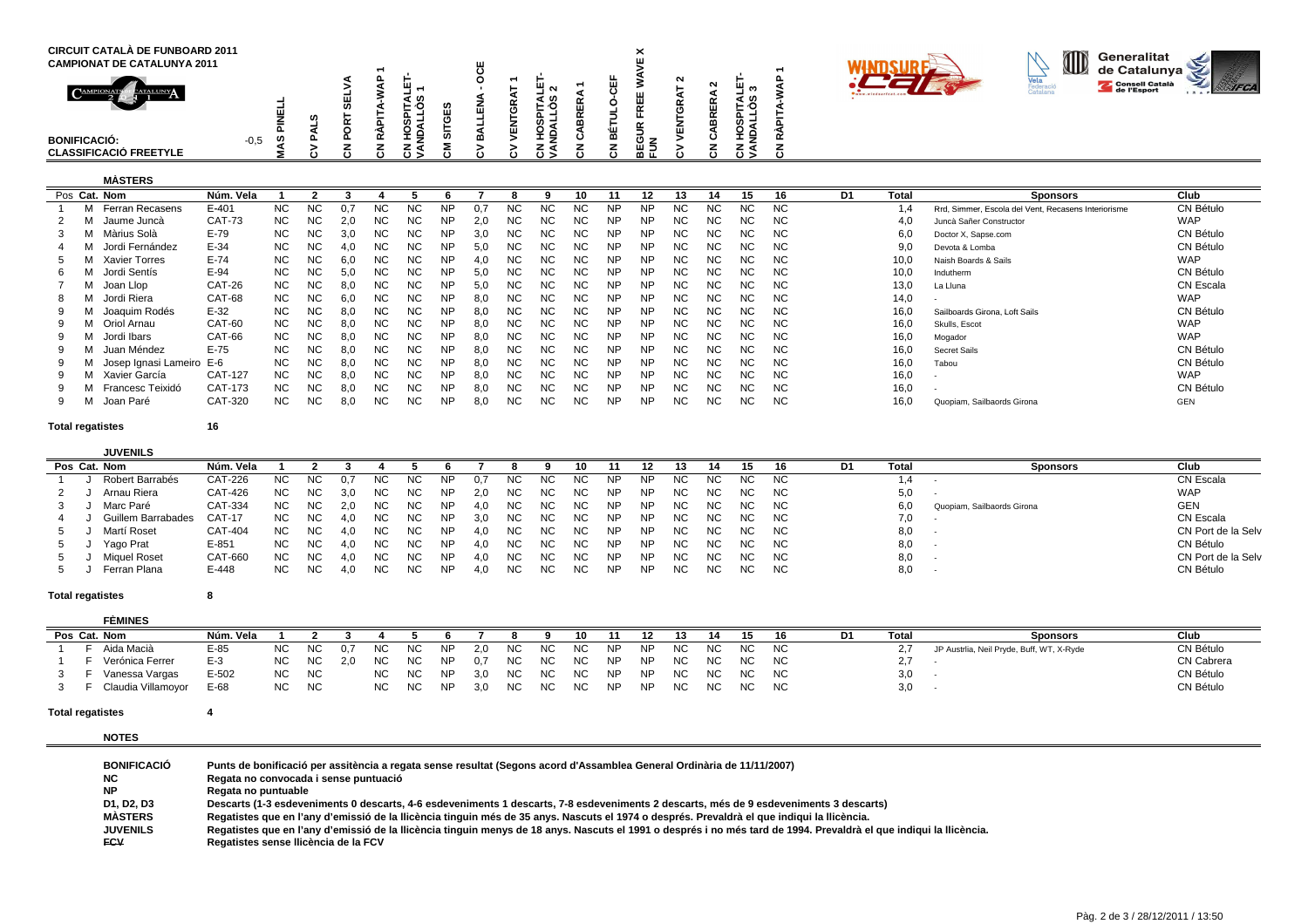| <b>CIRCUIT CATALÀ DE FUNBOARD 2011</b><br><b>CAMPIONAT DE CATALUNYA 2011</b><br>CAMPIONAT<br><b>CATALUNYA</b><br><b>BONIFICACIÓ:</b> | ဖာ<br>$-0,5$ | ທ |  | L =        |           | -  | N<br>ᆜ<br>ēω<br>. .<br>ັົ<br>ᆂᄛ |  | $\checkmark$<br>$\sim$<br>ΟZ | $\sim$<br>$\sim$ | $\overline{\phantom{a}}$<br>∸<br>$\cdots$ | ຕ<br>∢ ທ   |  |  | O | Generalitat<br>de Catalunya<br>Consell Català<br>Ce l'Esport |  |
|--------------------------------------------------------------------------------------------------------------------------------------|--------------|---|--|------------|-----------|----|---------------------------------|--|------------------------------|------------------|-------------------------------------------|------------|--|--|---|--------------------------------------------------------------|--|
| <b>CLASSIFICACIÓ FREETYLE</b>                                                                                                        |              |   |  | ∠ ∢<br>خ ن | $\lambda$ | ین | z 4<br>د ں                      |  | யு<br>血正                     |                  |                                           | z q<br>د ن |  |  |   |                                                              |  |

## **MÀSTERS**

| Pos Cat. Nom             | Núm. Vela     |           |           |     |           |     |           |     |           |           |     |           |           |           |    | 15  | 16  | D1 | Total | <b>Sponsors</b>                                     | Club       |
|--------------------------|---------------|-----------|-----------|-----|-----------|-----|-----------|-----|-----------|-----------|-----|-----------|-----------|-----------|----|-----|-----|----|-------|-----------------------------------------------------|------------|
| Ferran Recasens          | E-401         | NC.       | <b>NC</b> |     | NС        | NC. | NP        | 0.7 | <b>NC</b> | NС        | NС  | NP        | NΡ        | <b>NC</b> | ΝC | NС  | NС  |    | 1.4   | Rrd, Simmer, Escola del Vent, Recasens Interiorisme | CN Bétulo  |
| Jaume Juncà              | <b>CAT-73</b> | <b>NC</b> | <b>NC</b> | 2.0 | NC        | NC. | ΝP        | 2.0 | NC.       | ΝC        | ΝC  | NΡ        | NΡ        | NC.       | ΝC | NC. | NC. |    | 4.0   | Juncà Sañer Constructor                             | <b>WAP</b> |
| Màrius Solà              | $E-79$        | <b>NC</b> | <b>NC</b> | 3.0 | NC.       | NC. | ΝP        | 3.0 | NC.       | NC.       | NC. | <b>NP</b> | <b>NP</b> | NC.       | ΝC | NC. | NC. |    | 6,0   | Doctor X, Sapse.com                                 | CN Bétulo  |
| Jordi Fernández          | $E-34$        | NC        | <b>NC</b> | 4.0 | NC        | NC. | <b>NP</b> | 5,0 | NC.       | ΝC        | ΝC  | <b>NP</b> | NP        | NC.       | ΝC | NC  | NC. |    | 9.0   | Devota & Lomba                                      | CN Bétulo  |
| <b>Xavier Torres</b>     | $E-74$        | NC.       | <b>NC</b> | 6.0 | NC        | NC. | <b>NP</b> | 4.0 | NC.       | NC.       | NC. | <b>NP</b> | NP        | NC.       | ΝC | NC. | NC. |    | 10.0  | Naish Boards & Sails                                | <b>WAP</b> |
| Jordi Sentís<br>6.       | $E-94$        | NC.       | <b>NC</b> | 5,0 | <b>NC</b> | NC. | <b>NP</b> | 5.0 | NC.       | <b>NC</b> | NC. | <b>NP</b> | NP        | NC.       | ΝC | NC. | NC. |    | 10,0  | Indutherm                                           | CN Bétulo  |
| Joan Llop                | CAT-26        | <b>NC</b> | <b>NC</b> | 8.0 | <b>NC</b> | NC. | <b>NP</b> | 5.0 | NC.       | <b>NC</b> | NC. | <b>NP</b> | NP        | NC.       | ΝC | NC. | NC. |    | 13,0  | La Lluna                                            | CN Escala  |
| Jordi Riera              | CAT-68        | <b>NC</b> | <b>NC</b> | 6.0 | <b>NC</b> | NC. | <b>NP</b> | 8.0 | NC.       | ΝC        | NC. | <b>NP</b> | NP        | NC.       | ΝC | NC. | NC. |    | 14,0  |                                                     | <b>WAP</b> |
| Joaquim Rodés            | $E-32$        | NC.       | NC.       | 8.C | ΝC        | NC. | NP        | 8.0 | NC.       | ΝC        | NC. | NP        | NP.       | NC.       | NС | NC. | NC. |    | 16,0  | Sailboards Girona, Loft Sails                       | CN Bétulo  |
| Oriol Arnau              | CAT-60        | <b>NC</b> | <b>NC</b> | 8.0 | NC        | NC. | <b>NP</b> | 8.0 | NC.       | <b>NC</b> | ΝC  | <b>NP</b> | NP.       | NC.       | ΝC | NC. | NC. |    | 16,0  | Skulls, Escot                                       | <b>WAP</b> |
| Jordi Ibars              | CAT-66        | <b>NC</b> | <b>NC</b> | 8.0 | NC        | NC. | ΝP        | 8.0 | NC.       | <b>NC</b> | ΝC  | <b>NP</b> | <b>NP</b> | NC.       | ΝC | NC. | NC. |    | 16,0  | Mogador                                             | <b>WAP</b> |
| Juan Méndez              | $E-75$        | NC        | <b>NC</b> | 8.0 | <b>NC</b> | NC. | <b>NP</b> | 8.0 | NC.       | NC.       | NC. | <b>NP</b> | <b>NP</b> | NC.       | ΝC | NC. | NC. |    | 16,0  | Secret Sails                                        | CN Bétulo  |
| Josep Ignasi Lameiro E-6 |               | <b>NC</b> | <b>NC</b> | 8.0 | <b>NC</b> | NC. | <b>NP</b> | 8.0 | <b>NC</b> | <b>NC</b> | ΝC  | <b>NP</b> | <b>NP</b> | NC.       | ΝC | NC. | NC. |    | 16,0  | Tabou                                               | CN Bétulo  |
| Xavier García            | CAT-127       | <b>NC</b> | <b>NC</b> | 8.0 | NC        | NC. | <b>NP</b> | 8.0 | NC.       | ΝC        | NC. | <b>NP</b> | NP.       | NC.       | ΝC | NC. | NC. |    | 16,0  |                                                     | <b>WAP</b> |
| Francesc Teixidó         | CAT-173       | <b>NC</b> | <b>NC</b> | 8.0 | <b>NC</b> | NC. | <b>NP</b> | 8.0 | NC.       | ΝC        | NC. | <b>NP</b> | NΡ        | NC.       | ΝC | NC. | NC. |    | 16,0  |                                                     | CN Bétulo  |
| Joan Paré                | CAT-320       | <b>NC</b> | <b>NC</b> | 8,0 | ΝC        | NC. | <b>NP</b> | 8.0 | <b>NC</b> | ΝC        | NC  | <b>NP</b> | NP        | <b>NC</b> | NC | NC. | ΝC  |    | 16,0  | Quopiam, Sailbaords Girona                          | <b>GEN</b> |

**Total regatistes**

**<sup>16</sup>**

| <b>JUVENILS</b> |                    |                |           |           |     |           |           |           |     |           |     |     |           |     |     |     |     |      |    |       |                            |                    |
|-----------------|--------------------|----------------|-----------|-----------|-----|-----------|-----------|-----------|-----|-----------|-----|-----|-----------|-----|-----|-----|-----|------|----|-------|----------------------------|--------------------|
|                 | Pos Cat. Nom       | Núm. Vela      |           |           |     |           |           |           |     |           |     |     |           |     |     |     | 15  |      | D1 | Total | <b>Sponsors</b>            | Club               |
|                 | Robert Barrabés    | CAT-226        | NC.       | ΝC        |     | NC        | NC.       |           |     | NC.       | NC. | NC. | NP        | NP. | NC. | NC. | NC. | NC   |    |       |                            | CN Escala          |
|                 | Arnau Riera        | CAT-426        | <b>NC</b> | <b>NC</b> |     | NC        | NC.       | NP        | 2.0 | NC.       | NC. | NC. | NP        | NP  | NC. | NC. | NC. | NC.  |    | 5,0   |                            | <b>WAP</b>         |
|                 | Marc Paré          | CAT-334        | <b>NC</b> | <b>NC</b> | 2.0 | <b>NC</b> | <b>NC</b> | NP        | 4.0 | NC.       | NC. | NC. | NP.       | NP  | NC. | NC. | NC. | - NC |    | 6,0   | Quopiam, Sailbaords Girona | <b>GEN</b>         |
|                 | Guillem Barrabades | CAT-17         | <b>NC</b> | NC        |     | NC        | NC.       | ΝP        | 3.0 | NC.       | NC. | NC. | NP        | NP. | NC. | NC. | NC. | NC.  |    |       |                            | CN Escala          |
|                 | Martí Roset        | <b>CAT-404</b> | <b>NC</b> | <b>NC</b> | 4.0 | <b>NC</b> | NC.       | <b>NP</b> | 4.0 | <b>NC</b> | NC. | NC. | <b>NP</b> | NP  | NC. | NC. | NC. | NC   |    | 8,0   |                            | CN Port de la Selv |
|                 | Yago Prat          | $E-851$        | <b>NC</b> | NC.       |     | <b>NC</b> | NC.       | ΝP        | 4 O | ΝC        | NC. | NC. | NP        | NP. | ΝC  | NC. |     | NC.  |    | 8,0   |                            | CN Bétulo          |
|                 | Miguel Roset       | CAT-660        | <b>NC</b> | <b>NC</b> | 4.0 | <b>NC</b> | NC        | NΡ        | 4.0 | NC.       | NC. | NC. | NP        | NP  | NC. | NC. | NC. | NC   |    | 8,0   |                            | CN Port de la Selv |
|                 | Ferran Plana       | E-448          | NC.       | <b>NC</b> |     | <b>NC</b> | <b>NC</b> | ΝP        | 4 O | <b>NC</b> |     | NC. | NP        | NP. | NC. | NC. | NC. | NC.  |    | 8,0   |                            | CN Bétulo          |

## **Total regatistes<sup>8</sup>**

| <b>FÈMINES</b>     |           |           |           |     |           |     |           |     |     |     |      |           |           |     |           |           |           |    |          |                                           |                   |
|--------------------|-----------|-----------|-----------|-----|-----------|-----|-----------|-----|-----|-----|------|-----------|-----------|-----|-----------|-----------|-----------|----|----------|-------------------------------------------|-------------------|
| Pos Cat. Nom       | Núm. Vela |           |           |     |           |     |           |     |     |     |      |           |           |     |           |           | 16        | D1 | Tota     | <b>Sponsors</b>                           | Club              |
| Aida Macià         | $E-85$    | NC.       | NC        | 0.7 | <b>NC</b> | NC  | <b>NP</b> | 2.0 | NC. | NC. | NC.  | <b>NP</b> | <b>NP</b> | NC. | <b>NC</b> | NC.       | NC.       |    |          | JP Austrlia, Neil Pryde, Buff, WT, X-Ryde | CN Bétulo         |
| Verónica Ferrer    | $E-3$     | NC.       | NC        |     | NC.       | NC. |           | 0.  | NC. | NC. | NC . | <b>NP</b> | <b>NP</b> | NC. | NC.       | NC.       | <b>NC</b> |    | <b>L</b> |                                           | <b>CN Cabrera</b> |
| Vanessa Vargas     | $E - 502$ | NC.       | <b>NC</b> |     | <b>NC</b> | NC. | <b>NP</b> | 3.0 | NC  | NC. | NC.  | <b>NP</b> | <b>NP</b> | NC. | <b>NC</b> | NC.       | <b>NC</b> |    | 3,0      |                                           | CN Bétulo         |
| Claudia Villamoyor | E-68      | <b>NC</b> | <b>NC</b> |     | <b>NC</b> | NC. | <b>NP</b> | 3.0 | NC. | NC. | NC.  | <b>NP</b> | <b>NP</b> | NC  | NC.       | <b>NC</b> | NC.       |    | 3,0      |                                           | CN Bétulo         |

## **Total regatistes<sup>4</sup>**

**NOTES**

| <b>BONIFICACIÓ</b> | Punts de bonificació per assitència a regata sense resultat (Segons acord d'Assamblea General Ordinària de 11/11/2007)                                              |
|--------------------|---------------------------------------------------------------------------------------------------------------------------------------------------------------------|
| NC.                | Regata no convocada i sense puntuació                                                                                                                               |
| <b>NP</b>          | Regata no puntuable                                                                                                                                                 |
| D1. D2. D3         | Descarts (1-3 esdeveniments 0 descarts, 4-6 esdeveniments 1 descarts, 7-8 esdeveniments 2 descarts, més de 9 esdeveniments 3 descarts)                              |
| <b>MÅSTERS</b>     | Regatistes que en l'any d'emissió de la Ilicència tinguin més de 35 anys. Nascuts el 1974 o després. Prevaldrà el que indigui la Ilicència.                         |
| <b>JUVENILS</b>    | Regatistes que en l'any d'emissió de la Ilicència tinguin menys de 18 anys. Nascuts el 1991 o després i no més tard de 1994. Prevaldrà el que indiqui la Ilicència. |
| <b>FCV</b>         | Regatistes sense Ilicència de la FCV                                                                                                                                |